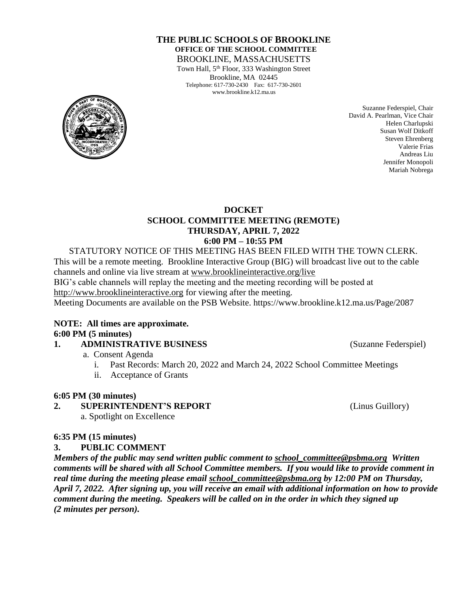### **THE PUBLIC SCHOOLS OF BROOKLINE OFFICE OF THE SCHOOL COMMITTEE** BROOKLINE, MASSACHUSETTS

Town Hall, 5<sup>th</sup> Floor, 333 Washington Street Brookline, MA 02445 Telephone: 617-730-2430 Fax: 617-730-2601 www.brookline.k12.ma.us



Suzanne Federspiel, Chair David A. Pearlman, Vice Chair Helen Charlupski Susan Wolf Ditkoff Steven Ehrenberg Valerie Frias Andreas Liu Jennifer Monopoli Mariah Nobrega

### **DOCKET SCHOOL COMMITTEE MEETING (REMOTE) THURSDAY, APRIL 7, 2022 6:00 PM – 10:55 PM**

STATUTORY NOTICE OF THIS MEETING HAS BEEN FILED WITH THE TOWN CLERK. This will be a remote meeting. Brookline Interactive Group (BIG) will broadcast live out to the cable channels and online via live stream at [www.brooklineinteractive.org/live](https://protect-us.mimecast.com/s/nSb0CG6Q8xuLqW1DHYBFG-?domain=brooklineinteractive.org) BIG's cable channels will replay the meeting and the meeting recording will be posted at [http://www.brooklineinteractive.org](https://protect-us.mimecast.com/s/ziZBCER6xvc6nngoFwrIh2?domain=brooklineinteractive.org) for viewing after the meeting. Meeting Documents are available on the PSB Website. https://www.brookline.k12.ma.us/Page/2087

#### **NOTE: All times are approximate. 6:00 PM (5 minutes)**

## **1. ADMINISTRATIVE BUSINESS** (Suzanne Federspiel)

- a. Consent Agenda
	- i. Past Records: March 20, 2022 and March 24, 2022 School Committee Meetings
	- ii. Acceptance of Grants

## **6:05 PM (30 minutes)**

## **2. SUPERINTENDENT'S REPORT** (Linus Guillory)

a. Spotlight on Excellence

## **6:35 PM (15 minutes)**

## **3. PUBLIC COMMENT**

*Members of the public may send written public comment to [school\\_committee@psbma.org](mailto:school_committee@psbma.org) Written comments will be shared with all School Committee members. If you would like to provide comment in real time during the meeting please email [school\\_committee@psbma.org](mailto:school_committee@psbma.org) by 12:00 PM on Thursday, April 7, 2022. After signing up, you will receive an email with additional information on how to provide comment during the meeting. Speakers will be called on in the order in which they signed up (2 minutes per person).*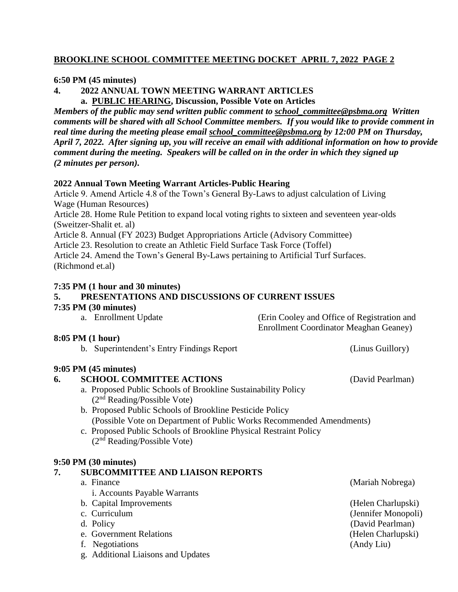# **BROOKLINE SCHOOL COMMITTEE MEETING DOCKET APRIL 7, 2022 PAGE 2**

### **6:50 PM (45 minutes)**

**4. 2022 ANNUAL TOWN MEETING WARRANT ARTICLES a. PUBLIC HEARING, Discussion, Possible Vote on Articles**

*Members of the public may send written public comment to [school\\_committee@psbma.org](mailto:school_committee@psbma.org) Written comments will be shared with all School Committee members. If you would like to provide comment in real time during the meeting please email [school\\_committee@psbma.org](mailto:school_committee@psbma.org) by 12:00 PM on Thursday, April 7, 2022. After signing up, you will receive an email with additional information on how to provide comment during the meeting. Speakers will be called on in the order in which they signed up (2 minutes per person).* 

### **2022 Annual Town Meeting Warrant Articles-Public Hearing**

Article 9. Amend Article 4.8 of the Town's General By-Laws to adjust calculation of Living Wage (Human Resources) Article 28. Home Rule Petition to expand local voting rights to sixteen and seventeen year-olds (Sweitzer-Shalit et. al) Article 8. Annual (FY 2023) Budget Appropriations Article (Advisory Committee)

Article 23. Resolution to create an Athletic Field Surface Task Force (Toffel)

Article 24. Amend the Town's General By-Laws pertaining to Artificial Turf Surfaces. (Richmond et.al)

#### **7:35 PM (1 hour and 30 minutes)**

## **5. PRESENTATIONS AND DISCUSSIONS OF CURRENT ISSUES**

#### **7:35 PM (30 minutes)**

|  | a. Enrollment Update | (Erin Cooley and Office of Registration and   |
|--|----------------------|-----------------------------------------------|
|  |                      | <b>Enrollment Coordinator Meaghan Geaney)</b> |

#### **8:05 PM (1 hour)**

b. Superintendent's Entry Findings Report (Linus Guillory)

#### **9:05 PM (45 minutes)**

#### **6. SCHOOL COMMITTEE ACTIONS** (David Pearlman)

- a. Proposed Public Schools of Brookline Sustainability Policy (2nd Reading/Possible Vote)
- b. Proposed Public Schools of Brookline Pesticide Policy (Possible Vote on Department of Public Works Recommended Amendments)
- c. Proposed Public Schools of Brookline Physical Restraint Policy (2nd Reading/Possible Vote)

#### **9:50 PM (30 minutes)**

## **7. SUBCOMMITTEE AND LIAISON REPORTS**

a. Finance (Mariah Nobrega) i. Accounts Payable Warrants b. Capital Improvements (Helen Charlupski) c. Curriculum (Jennifer Monopoli) d. Policy (David Pearlman) e. Government Relations (Helen Charlupski) f. Negotiations (Andy Liu) g. Additional Liaisons and Updates